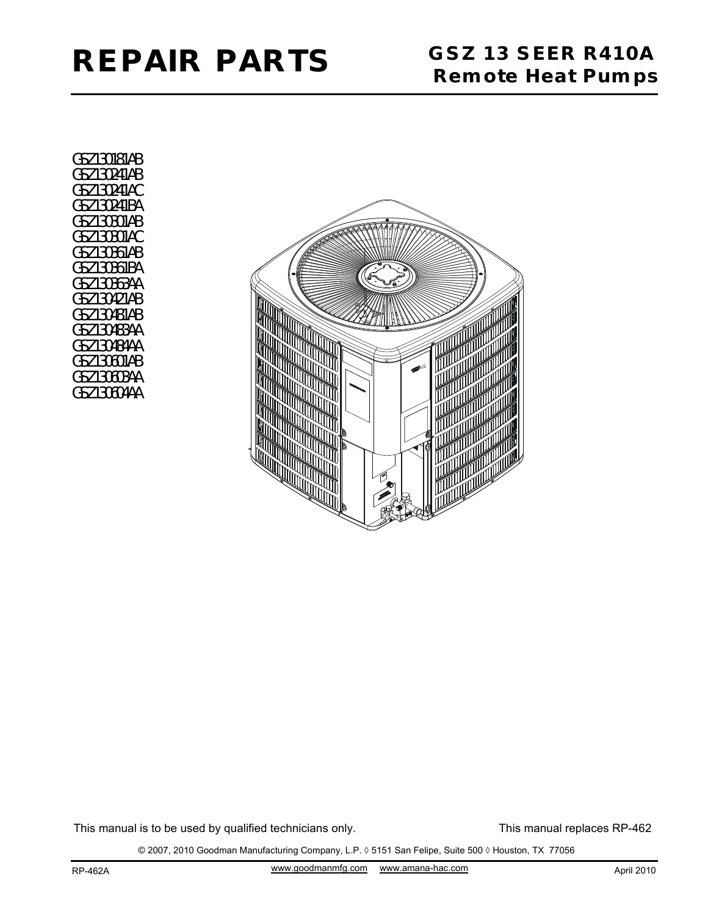

GSZ130181AB GSZ130241AB GSZ130241AC GSZ130241BA GSZ130301AB GSZ130301AC GSZ130361AB GSZ130361BA GSZ130363AA GSZ130421AB GSZ130481AB GSZ130483AA GSZ130484AA GSZ130601AB GSZ130603AA GSZ130604AA



This manual is to be used by qualified technicians only.

This manual replaces RP-462

© 2007, 2010 Goodman Manufacturing Company, L.P. ◊ 5151 San Felipe, Suite 500 ◊ Houston, TX 77056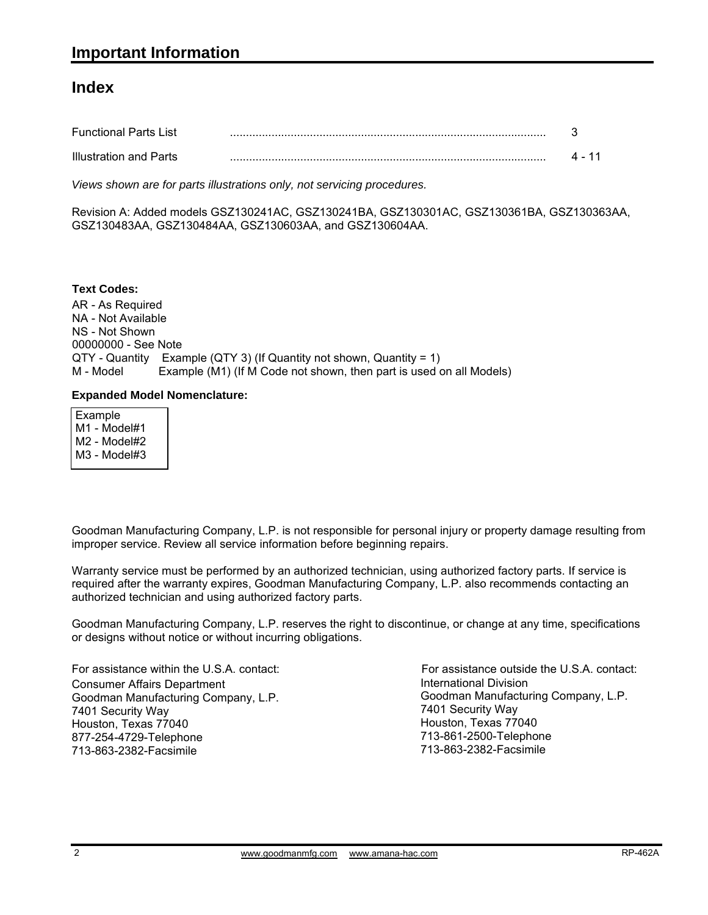#### **Index**

| <b>Functional Parts List</b> |  |
|------------------------------|--|
| Illustration and Parts       |  |

*Views shown are for parts illustrations only, not servicing procedures.*

Revision A: Added models GSZ130241AC, GSZ130241BA, GSZ130301AC, GSZ130361BA, GSZ130363AA, GSZ130483AA, GSZ130484AA, GSZ130603AA, and GSZ130604AA.

AR - As Required NA - Not Available NS - Not Shown 00000000 - See Note QTY - Quantity Example (QTY 3) (If Quantity not shown, Quantity = 1) M - Model Example (M1) (If M Code not shown, then part is used on all Models) **Text Codes:**

#### **Expanded Model Nomenclature:**

 Example M1 - Model#1 M2 - Model#2 M3 - Model#3

Goodman Manufacturing Company, L.P. is not responsible for personal injury or property damage resulting from improper service. Review all service information before beginning repairs.

Warranty service must be performed by an authorized technician, using authorized factory parts. If service is required after the warranty expires, Goodman Manufacturing Company, L.P. also recommends contacting an authorized technician and using authorized factory parts.

Goodman Manufacturing Company, L.P. reserves the right to discontinue, or change at any time, specifications or designs without notice or without incurring obligations.

For assistance within the U.S.A. contact: Consumer Affairs Department Goodman Manufacturing Company, L.P. 7401 Security Way Houston, Texas 77040 877-254-4729-Telephone 713-863-2382-Facsimile

International Division International Division<br>Goodman Manufacturing Company, L.P. 7401 Security Way Houston, Texas 77040 713-861-2500-Telephone 713-863-2382-Facsimile For assistance outside the U.S.A. contact: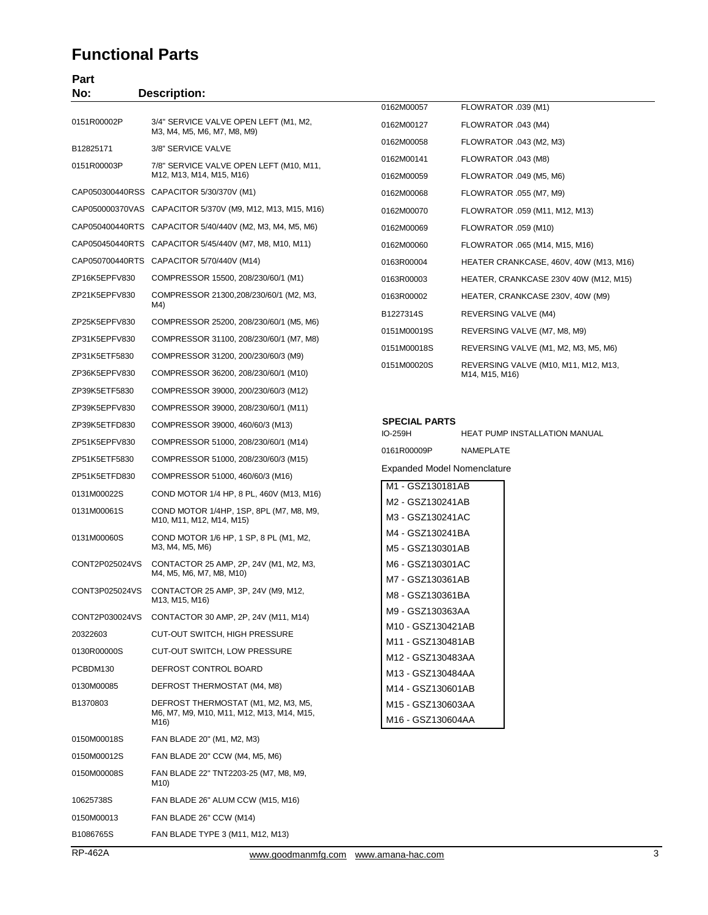#### **Functional Parts**

| Part<br>No:    | <b>Description:</b>                                                                      |                                        |                                                        |
|----------------|------------------------------------------------------------------------------------------|----------------------------------------|--------------------------------------------------------|
|                |                                                                                          | 0162M00057                             | FLOWRATOR .039 (M1)                                    |
| 0151R00002P    | 3/4" SERVICE VALVE OPEN LEFT (M1, M2,<br>M3, M4, M5, M6, M7, M8, M9)                     | 0162M00127                             | FLOWRATOR .043 (M4)                                    |
| B12825171      | 3/8" SERVICE VALVE                                                                       | 0162M00058                             | FLOWRATOR .043 (M2, M3)                                |
| 0151R00003P    | 7/8" SERVICE VALVE OPEN LEFT (M10, M11,                                                  | 0162M00141                             | FLOWRATOR .043 (M8)                                    |
|                | M12, M13, M14, M15, M16)                                                                 | 0162M00059                             | FLOWRATOR .049 (M5, M6)                                |
|                | CAP050300440RSS CAPACITOR 5/30/370V (M1)                                                 | 0162M00068                             | FLOWRATOR .055 (M7, M9)                                |
|                | CAP050000370VAS CAPACITOR 5/370V (M9, M12, M13, M15, M16)                                | 0162M00070                             | FLOWRATOR .059 (M11, M12, M13)                         |
|                | CAP050400440RTS CAPACITOR 5/40/440V (M2, M3, M4, M5, M6)                                 | 0162M00069                             | FLOWRATOR .059 (M10)                                   |
|                | CAP050450440RTS CAPACITOR 5/45/440V (M7, M8, M10, M11)                                   | 0162M00060                             | FLOWRATOR .065 (M14, M15, M16)                         |
|                | CAP050700440RTS CAPACITOR 5/70/440V (M14)                                                | 0163R00004                             | HEATER CRANKCASE, 460V, 40W (M13, M16)                 |
| ZP16K5EPFV830  | COMPRESSOR 15500, 208/230/60/1 (M1)                                                      | 0163R00003                             | HEATER, CRANKCASE 230V 40W (M12, M15)                  |
| ZP21K5EPFV830  | COMPRESSOR 21300,208/230/60/1 (M2, M3,<br>M4)                                            | 0163R00002                             | HEATER, CRANKCASE 230V, 40W (M9)                       |
| ZP25K5EPFV830  | COMPRESSOR 25200, 208/230/60/1 (M5, M6)                                                  | B1227314S                              | REVERSING VALVE (M4)                                   |
| ZP31K5EPFV830  | COMPRESSOR 31100, 208/230/60/1 (M7, M8)                                                  | 0151M00019S                            | REVERSING VALVE (M7, M8, M9)                           |
| ZP31K5ETF5830  | COMPRESSOR 31200, 200/230/60/3 (M9)                                                      | 0151M00018S                            | REVERSING VALVE (M1, M2, M3, M5, M6)                   |
| ZP36K5EPFV830  | COMPRESSOR 36200, 208/230/60/1 (M10)                                                     | 0151M00020S                            | REVERSING VALVE (M10, M11, M12, M13,<br>M14, M15, M16) |
| ZP39K5ETF5830  | COMPRESSOR 39000, 200/230/60/3 (M12)                                                     |                                        |                                                        |
| ZP39K5EPFV830  | COMPRESSOR 39000, 208/230/60/1 (M11)                                                     |                                        |                                                        |
| ZP39K5ETFD830  | COMPRESSOR 39000, 460/60/3 (M13)                                                         | <b>SPECIAL PARTS</b>                   |                                                        |
| ZP51K5EPFV830  | COMPRESSOR 51000, 208/230/60/1 (M14)                                                     | IO-259H                                | HEAT PUMP INSTALLATION MANUAL                          |
| ZP51K5ETF5830  | COMPRESSOR 51000, 208/230/60/3 (M15)                                                     | 0161R00009P                            | NAMEPLATE                                              |
| ZP51K5ETFD830  | COMPRESSOR 51000, 460/60/3 (M16)                                                         | Expanded Model Nomenclature            |                                                        |
| 0131M00022S    | COND MOTOR 1/4 HP, 8 PL, 460V (M13, M16)                                                 | M1 - GSZ130181AB<br>M2 - GSZ130241AB   |                                                        |
| 0131M00061S    | COND MOTOR 1/4HP, 1SP, 8PL (M7, M8, M9,<br>M10, M11, M12, M14, M15)                      | M3 - GSZ130241AC                       |                                                        |
| 0131M00060S    | COND MOTOR 1/6 HP, 1 SP, 8 PL (M1, M2,<br>M3, M4, M5, M6)                                | M4 - GSZ130241BA<br>M5 - GSZ130301AB   |                                                        |
| CONT2P025024VS | CONTACTOR 25 AMP, 2P, 24V (M1, M2, M3,<br>M4, M5, M6, M7, M8, M10)                       | M6 - GSZ130301AC                       |                                                        |
| CONT3P025024VS | CONTACTOR 25 AMP, 3P, 24V (M9, M12,                                                      | M7 - GSZ130361AB                       |                                                        |
|                | M13, M15, M16)                                                                           | M8 - GSZ130361BA<br>M9 - GSZ130363AA   |                                                        |
| CONT2P030024VS | CONTACTOR 30 AMP, 2P, 24V (M11, M14)                                                     | M10 - GSZ130421AB                      |                                                        |
| 20322603       | <b>CUT-OUT SWITCH, HIGH PRESSURE</b>                                                     | M11 - GSZ130481AB                      |                                                        |
| 0130R00000S    | CUT-OUT SWITCH, LOW PRESSURE                                                             | M12 - GSZ130483AA                      |                                                        |
| PCBDM130       | DEFROST CONTROL BOARD                                                                    | M13 - GSZ130484AA                      |                                                        |
| 0130M00085     | DEFROST THERMOSTAT (M4, M8)                                                              | M14 - GSZ130601AB                      |                                                        |
| B1370803       | DEFROST THERMOSTAT (M1, M2, M3, M5,<br>M6, M7, M9, M10, M11, M12, M13, M14, M15,<br>M16) | M15 - GSZ130603AA<br>M16 - GSZ130604AA |                                                        |
| 0150M00018S    | FAN BLADE 20" (M1, M2, M3)                                                               |                                        |                                                        |
| 0150M00012S    | FAN BLADE 20" CCW (M4, M5, M6)                                                           |                                        |                                                        |
| 0150M00008S    | FAN BLADE 22" TNT2203-25 (M7, M8, M9,<br>M10)                                            |                                        |                                                        |
| 10625738S      | FAN BLADE 26" ALUM CCW (M15, M16)                                                        |                                        |                                                        |
| 0150M00013     | FAN BLADE 26" CCW (M14)                                                                  |                                        |                                                        |
| B1086765S      | FAN BLADE TYPE 3 (M11, M12, M13)                                                         |                                        |                                                        |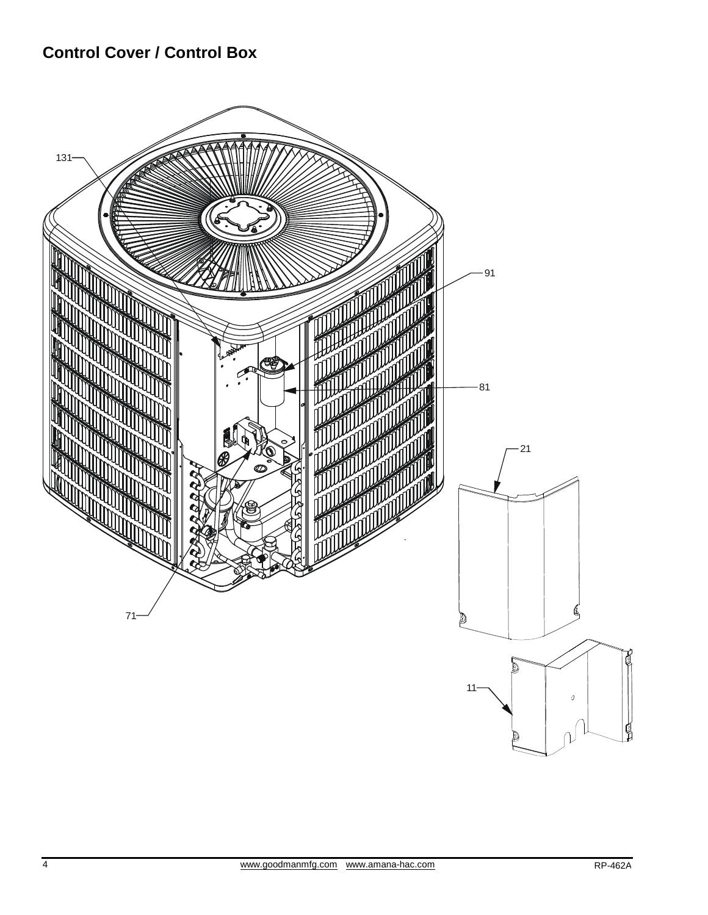## **Control Cover / Control Box**

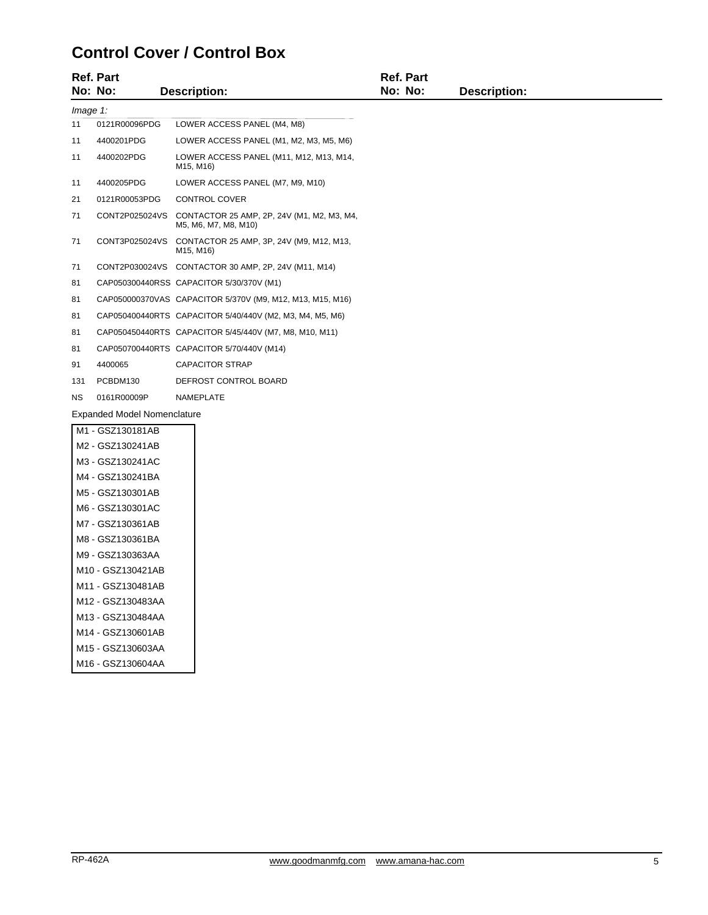## **Control Cover / Control Box**

|                                    | <b>Ref. Part</b><br>No: No: | <b>Description:</b>                                                               | <b>Ref. Part</b><br>No: No: | <b>Description:</b> |  |  |
|------------------------------------|-----------------------------|-----------------------------------------------------------------------------------|-----------------------------|---------------------|--|--|
| Image 1:                           |                             |                                                                                   |                             |                     |  |  |
| 11                                 | 0121R00096PDG               | LOWER ACCESS PANEL (M4, M8)                                                       |                             |                     |  |  |
| 11                                 | 4400201PDG                  | LOWER ACCESS PANEL (M1, M2, M3, M5, M6)                                           |                             |                     |  |  |
| 11                                 | 4400202PDG                  | LOWER ACCESS PANEL (M11, M12, M13, M14,<br>M15, M16)                              |                             |                     |  |  |
| 11                                 | 4400205PDG                  | LOWER ACCESS PANEL (M7, M9, M10)                                                  |                             |                     |  |  |
| 21                                 | 0121R00053PDG               | CONTROL COVER                                                                     |                             |                     |  |  |
| 71                                 |                             | CONT2P025024VS CONTACTOR 25 AMP, 2P, 24V (M1, M2, M3, M4,<br>M5, M6, M7, M8, M10) |                             |                     |  |  |
| 71                                 |                             | CONT3P025024VS CONTACTOR 25 AMP, 3P, 24V (M9, M12, M13,<br>M15, M16)              |                             |                     |  |  |
| 71                                 |                             | CONT2P030024VS CONTACTOR 30 AMP, 2P, 24V (M11, M14)                               |                             |                     |  |  |
| 81                                 |                             | CAP050300440RSS CAPACITOR 5/30/370V (M1)                                          |                             |                     |  |  |
| 81                                 |                             | CAP050000370VAS CAPACITOR 5/370V (M9, M12, M13, M15, M16)                         |                             |                     |  |  |
| 81                                 |                             | CAP050400440RTS CAPACITOR 5/40/440V (M2, M3, M4, M5, M6)                          |                             |                     |  |  |
| 81                                 |                             | CAP050450440RTS CAPACITOR 5/45/440V (M7, M8, M10, M11)                            |                             |                     |  |  |
| 81                                 |                             | CAP050700440RTS CAPACITOR 5/70/440V (M14)                                         |                             |                     |  |  |
| 91                                 | 4400065                     | <b>CAPACITOR STRAP</b>                                                            |                             |                     |  |  |
| 131                                | PCBDM130                    | DEFROST CONTROL BOARD                                                             |                             |                     |  |  |
| NS.                                | 0161R00009P                 | NAMEPLATE                                                                         |                             |                     |  |  |
| <b>Expanded Model Nomenclature</b> |                             |                                                                                   |                             |                     |  |  |
|                                    | M1 - GSZ130181AB            |                                                                                   |                             |                     |  |  |
|                                    | M2 - GSZ130241AB            |                                                                                   |                             |                     |  |  |
|                                    | M3 - GSZ130241AC            |                                                                                   |                             |                     |  |  |
|                                    | M4 - GSZ130241BA            |                                                                                   |                             |                     |  |  |
|                                    | M5 - GSZ130301AB            |                                                                                   |                             |                     |  |  |
|                                    | M6 - GSZ130301AC            |                                                                                   |                             |                     |  |  |
|                                    | M7 - GSZ130361AB            |                                                                                   |                             |                     |  |  |

M8 - GSZ130361BA M9 - GSZ130363AA M10 - GSZ130421AB M11 - GSZ130481AB M12 - GSZ130483AA M13 - GSZ130484AA M14 - GSZ130601AB M15 - GSZ130603AA M16 - GSZ130604AA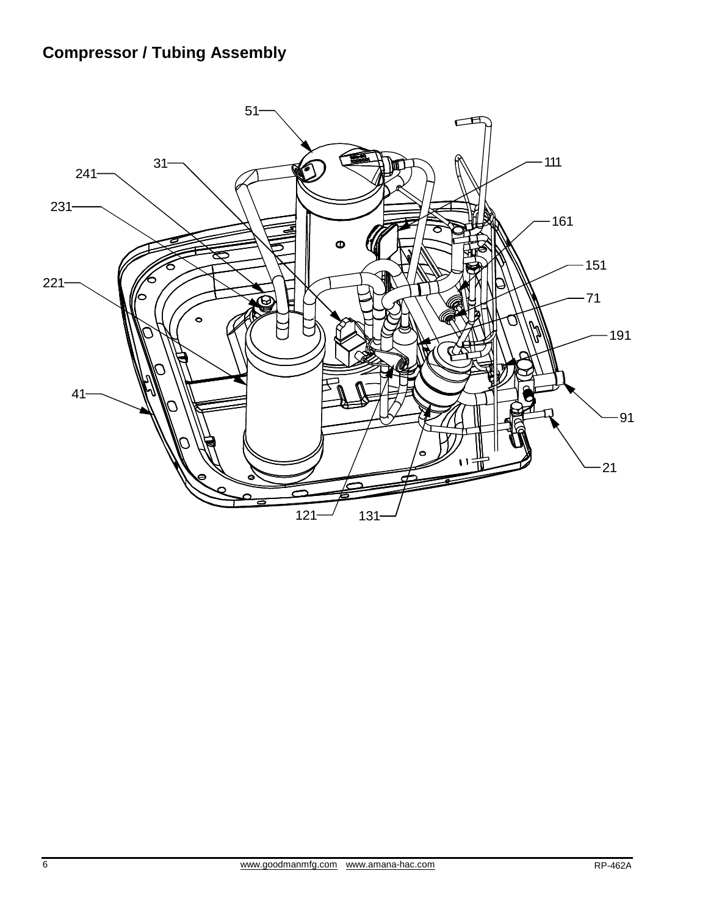# **Compressor / Tubing Assembly**

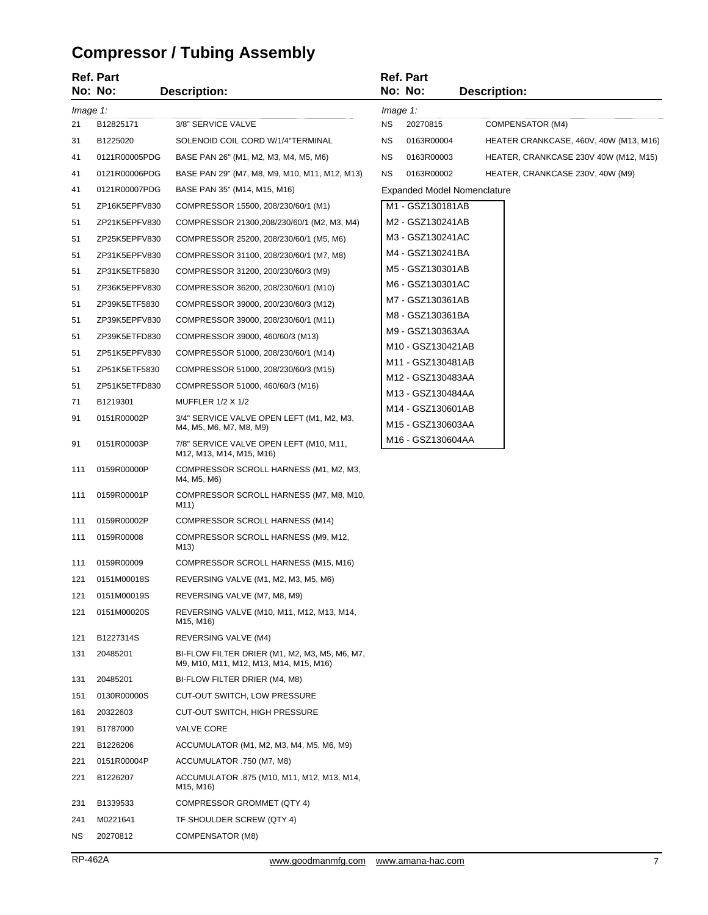# **Compressor / Tubing Assembly**

|          | <b>Ref. Part</b> |                                                                                         |             | Ref. Part                                                       |                                        |
|----------|------------------|-----------------------------------------------------------------------------------------|-------------|-----------------------------------------------------------------|----------------------------------------|
|          | No: No:          | <b>Description:</b>                                                                     |             | No: No:                                                         | <b>Description:</b>                    |
| Image 1: |                  |                                                                                         | $Image 1$ : |                                                                 |                                        |
| 21       | B12825171        | 3/8" SERVICE VALVE                                                                      | ΝS          | 20270815                                                        | COMPENSATOR (M4)                       |
| 31       | B1225020         | SOLENOID COIL CORD W/1/4"TERMINAL                                                       | <b>NS</b>   | 0163R00004                                                      | HEATER CRANKCASE, 460V, 40W (M13, M16) |
| 41       | 0121R00005PDG    | BASE PAN 26" (M1, M2, M3, M4, M5, M6)                                                   | <b>NS</b>   | 0163R00003                                                      | HEATER, CRANKCASE 230V 40W (M12, M15)  |
| 41       | 0121R00006PDG    | BASE PAN 29" (M7, M8, M9, M10, M11, M12, M13)                                           | <b>NS</b>   | 0163R00002                                                      | HEATER, CRANKCASE 230V, 40W (M9)       |
| 41       | 0121R00007PDG    | BASE PAN 35" (M14, M15, M16)                                                            |             | <b>Expanded Model Nomenclature</b>                              |                                        |
| 51       | ZP16K5EPFV830    | COMPRESSOR 15500, 208/230/60/1 (M1)                                                     |             | M1 - GSZ130181AB                                                |                                        |
| 51       | ZP21K5EPFV830    | COMPRESSOR 21300,208/230/60/1 (M2, M3, M4)                                              |             | M2 - GSZ130241AB                                                |                                        |
| 51       | ZP25K5EPFV830    | COMPRESSOR 25200, 208/230/60/1 (M5, M6)                                                 |             | M3 - GSZ130241AC                                                |                                        |
| 51       | ZP31K5EPFV830    | COMPRESSOR 31100, 208/230/60/1 (M7, M8)                                                 |             | M4 - GSZ130241BA                                                |                                        |
| 51       | ZP31K5ETF5830    | COMPRESSOR 31200, 200/230/60/3 (M9)                                                     |             | M5 - GSZ130301AB                                                |                                        |
| 51       | ZP36K5EPFV830    | COMPRESSOR 36200, 208/230/60/1 (M10)                                                    |             | M6 - GSZ130301AC                                                |                                        |
| 51       | ZP39K5ETF5830    | COMPRESSOR 39000, 200/230/60/3 (M12)                                                    |             | M7 - GSZ130361AB                                                |                                        |
| 51       | ZP39K5EPFV830    | COMPRESSOR 39000, 208/230/60/1 (M11)                                                    |             | M8 - GSZ130361BA                                                |                                        |
| 51       | ZP39K5ETFD830    | COMPRESSOR 39000, 460/60/3 (M13)                                                        |             | M9 - GSZ130363AA                                                |                                        |
| 51       | ZP51K5EPFV830    | COMPRESSOR 51000, 208/230/60/1 (M14)                                                    |             | M <sub>10</sub> - GSZ <sub>130421</sub> AB<br>M11 - GSZ130481AB |                                        |
| 51       | ZP51K5ETF5830    | COMPRESSOR 51000, 208/230/60/3 (M15)                                                    |             | M12 - GSZ130483AA                                               |                                        |
| 51       | ZP51K5ETFD830    | COMPRESSOR 51000, 460/60/3 (M16)                                                        |             | M13 - GSZ130484AA                                               |                                        |
| 71       | B1219301         | <b>MUFFLER 1/2 X 1/2</b>                                                                |             | M14 - GSZ130601AB                                               |                                        |
| 91       | 0151R00002P      | 3/4" SERVICE VALVE OPEN LEFT (M1, M2, M3,<br>M4, M5, M6, M7, M8, M9)                    |             | M15 - GSZ130603AA                                               |                                        |
| 91       | 0151R00003P      | 7/8" SERVICE VALVE OPEN LEFT (M10, M11,<br>M12, M13, M14, M15, M16)                     |             | M16 - GSZ130604AA                                               |                                        |
| 111      | 0159R00000P      | COMPRESSOR SCROLL HARNESS (M1, M2, M3,<br>M4, M5, M6)                                   |             |                                                                 |                                        |
| 111      | 0159R00001P      | COMPRESSOR SCROLL HARNESS (M7, M8, M10,<br>M11)                                         |             |                                                                 |                                        |
| 111      | 0159R00002P      | COMPRESSOR SCROLL HARNESS (M14)                                                         |             |                                                                 |                                        |
| 111      | 0159R00008       | COMPRESSOR SCROLL HARNESS (M9, M12,<br>M13)                                             |             |                                                                 |                                        |
| 111      | 0159R00009       | COMPRESSOR SCROLL HARNESS (M15, M16)                                                    |             |                                                                 |                                        |
| 121      | 0151M00018S      | REVERSING VALVE (M1, M2, M3, M5, M6)                                                    |             |                                                                 |                                        |
| 121      | 0151M00019S      | REVERSING VALVE (M7, M8, M9)                                                            |             |                                                                 |                                        |
| 121      | 0151M00020S      | REVERSING VALVE (M10, M11, M12, M13, M14,<br>M15, M16)                                  |             |                                                                 |                                        |
| 121      | B1227314S        | REVERSING VALVE (M4)                                                                    |             |                                                                 |                                        |
| 131      | 20485201         | BI-FLOW FILTER DRIER (M1, M2, M3, M5, M6, M7,<br>M9, M10, M11, M12, M13, M14, M15, M16) |             |                                                                 |                                        |
| 131      | 20485201         | BI-FLOW FILTER DRIER (M4, M8)                                                           |             |                                                                 |                                        |
| 151      | 0130R00000S      | CUT-OUT SWITCH, LOW PRESSURE                                                            |             |                                                                 |                                        |
| 161      | 20322603         | CUT-OUT SWITCH, HIGH PRESSURE                                                           |             |                                                                 |                                        |
| 191      | B1787000         | <b>VALVE CORE</b>                                                                       |             |                                                                 |                                        |
| 221      | B1226206         | ACCUMULATOR (M1, M2, M3, M4, M5, M6, M9)                                                |             |                                                                 |                                        |
| 221      | 0151R00004P      | ACCUMULATOR .750 (M7, M8)                                                               |             |                                                                 |                                        |
| 221      | B1226207         | ACCUMULATOR .875 (M10, M11, M12, M13, M14,<br>M15, M16)                                 |             |                                                                 |                                        |
| 231      | B1339533         | COMPRESSOR GROMMET (QTY 4)                                                              |             |                                                                 |                                        |
| 241      | M0221641         | TF SHOULDER SCREW (QTY 4)                                                               |             |                                                                 |                                        |
| ΝS       | 20270812         | COMPENSATOR (M8)                                                                        |             |                                                                 |                                        |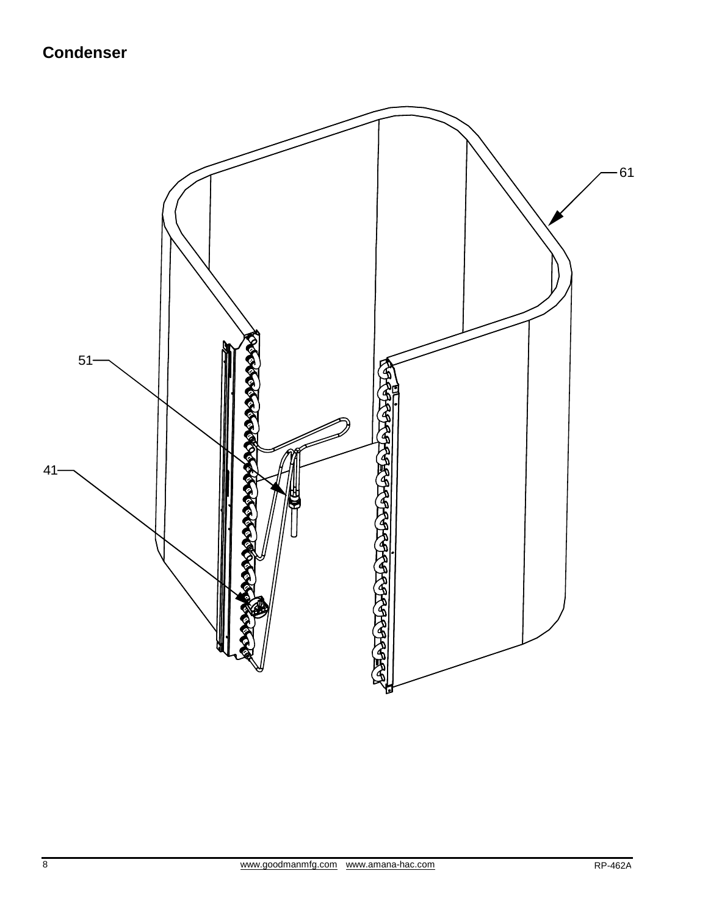# **Condenser**

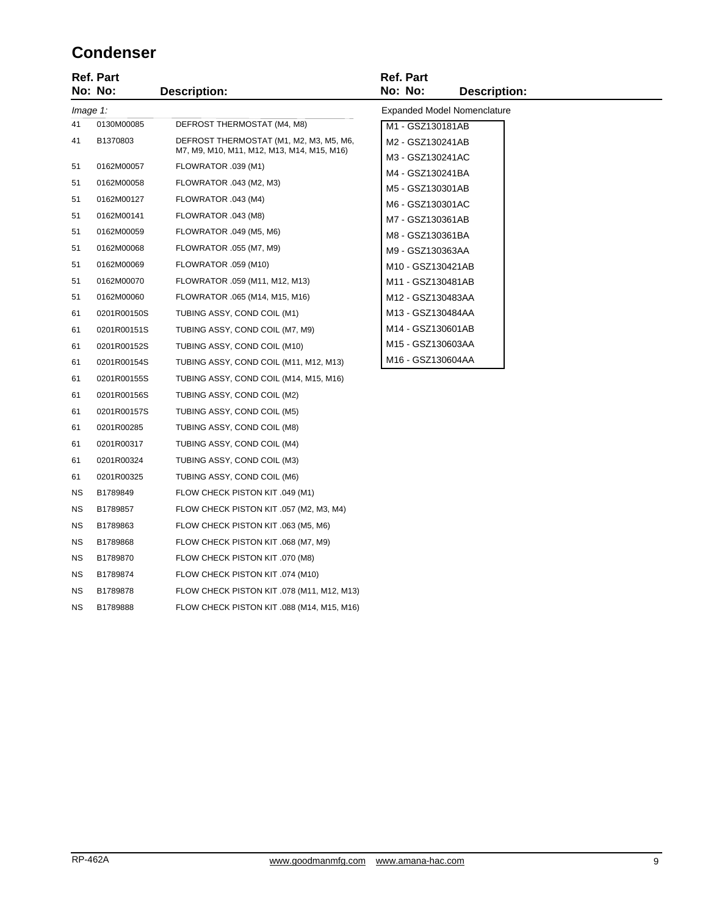#### **Condenser**

|           | <b>Ref. Part</b><br>No: No: | <b>Description:</b>                        | <b>Ref. Part</b><br>No: No: | <b>Description:</b>                |
|-----------|-----------------------------|--------------------------------------------|-----------------------------|------------------------------------|
| Image 1:  |                             |                                            |                             | <b>Expanded Model Nomenclature</b> |
| 41        | 0130M00085                  | DEFROST THERMOSTAT (M4, M8)                | M1 - GSZ130181AB            |                                    |
| 41        | B1370803                    | DEFROST THERMOSTAT (M1, M2, M3, M5, M6,    | M2 - GSZ130241AB            |                                    |
|           |                             | M7, M9, M10, M11, M12, M13, M14, M15, M16) | M3 - GSZ130241AC            |                                    |
| 51        | 0162M00057                  | FLOWRATOR .039 (M1)                        | M4 - GSZ130241BA            |                                    |
| 51        | 0162M00058                  | FLOWRATOR .043 (M2, M3)                    | M5 - GSZ130301AB            |                                    |
| 51        | 0162M00127                  | FLOWRATOR .043 (M4)                        | M6 - GSZ130301AC            |                                    |
| 51        | 0162M00141                  | FLOWRATOR .043 (M8)                        | M7 - GSZ130361AB            |                                    |
| 51        | 0162M00059                  | FLOWRATOR .049 (M5, M6)                    | M8 - GSZ130361BA            |                                    |
| 51        | 0162M00068                  | FLOWRATOR .055 (M7, M9)                    | M9 - GSZ130363AA            |                                    |
| 51        | 0162M00069                  | FLOWRATOR .059 (M10)                       | M10 - GSZ130421AB           |                                    |
| 51        | 0162M00070                  | FLOWRATOR .059 (M11, M12, M13)             | M11 - GSZ130481AB           |                                    |
| 51        | 0162M00060                  | FLOWRATOR .065 (M14, M15, M16)             | M12 - GSZ130483AA           |                                    |
| 61        | 0201R00150S                 | TUBING ASSY, COND COIL (M1)                | M13 - GSZ130484AA           |                                    |
| 61        | 0201R00151S                 | TUBING ASSY, COND COIL (M7, M9)            | M14 - GSZ130601AB           |                                    |
| 61        | 0201R00152S                 | TUBING ASSY, COND COIL (M10)               | M15 - GSZ130603AA           |                                    |
| 61        | 0201R00154S                 | TUBING ASSY, COND COIL (M11, M12, M13)     | M16 - GSZ130604AA           |                                    |
| 61        | 0201R00155S                 | TUBING ASSY, COND COIL (M14, M15, M16)     |                             |                                    |
| 61        | 0201R00156S                 | TUBING ASSY, COND COIL (M2)                |                             |                                    |
| 61        | 0201R00157S                 | TUBING ASSY, COND COIL (M5)                |                             |                                    |
| 61        | 0201R00285                  | TUBING ASSY, COND COIL (M8)                |                             |                                    |
| 61        | 0201R00317                  | TUBING ASSY, COND COIL (M4)                |                             |                                    |
| 61        | 0201R00324                  | TUBING ASSY, COND COIL (M3)                |                             |                                    |
| 61        | 0201R00325                  | TUBING ASSY, COND COIL (M6)                |                             |                                    |
| <b>NS</b> | B1789849                    | FLOW CHECK PISTON KIT .049 (M1)            |                             |                                    |
| NS.       | B1789857                    | FLOW CHECK PISTON KIT .057 (M2, M3, M4)    |                             |                                    |
| <b>NS</b> | B1789863                    | FLOW CHECK PISTON KIT .063 (M5, M6)        |                             |                                    |
| <b>NS</b> | B1789868                    | FLOW CHECK PISTON KIT .068 (M7, M9)        |                             |                                    |
| NS.       | B1789870                    | FLOW CHECK PISTON KIT .070 (M8)            |                             |                                    |
| ΝS        | B1789874                    | FLOW CHECK PISTON KIT .074 (M10)           |                             |                                    |
| <b>NS</b> | B1789878                    | FLOW CHECK PISTON KIT .078 (M11, M12, M13) |                             |                                    |
| <b>NS</b> | B1789888                    | FLOW CHECK PISTON KIT .088 (M14, M15, M16) |                             |                                    |
|           |                             |                                            |                             |                                    |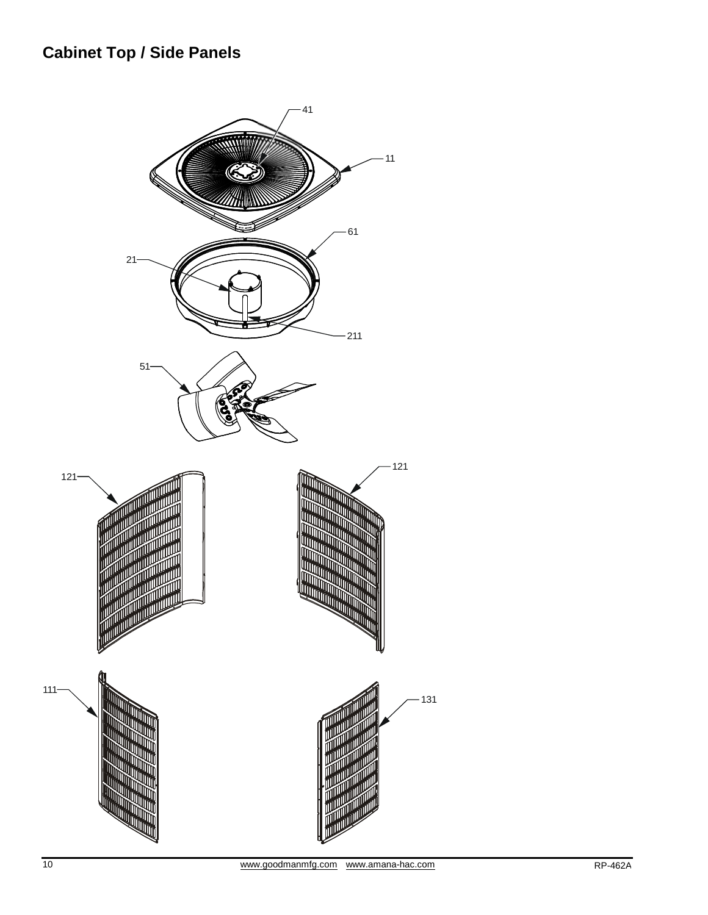# **Cabinet Top / Side Panels**

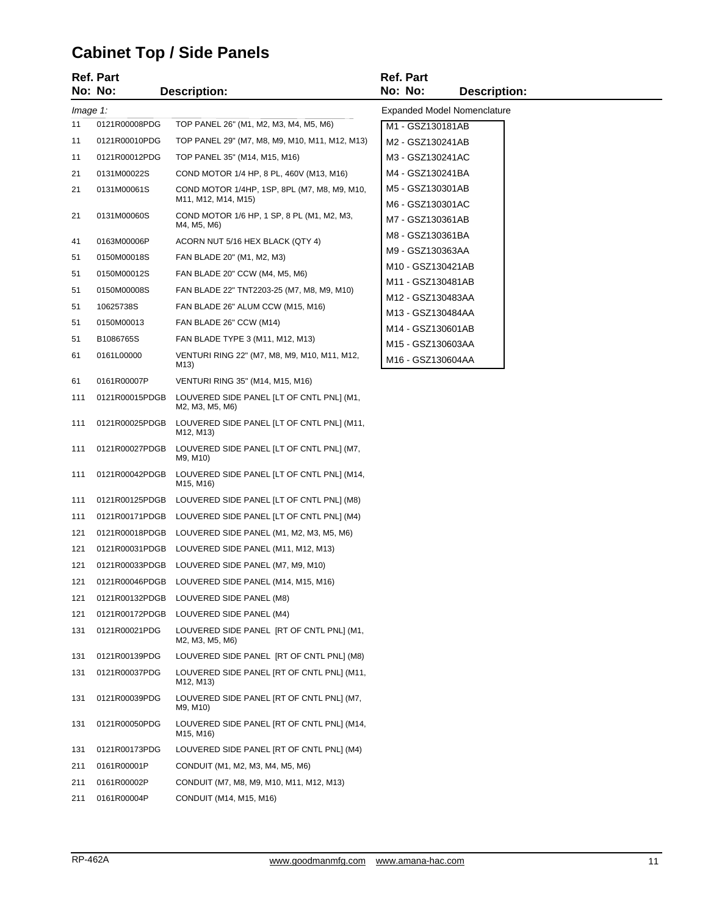# **Cabinet Top / Side Panels**

|          | Ref. Part      |                                                                     | <b>Ref. Part</b>                     |                                    |
|----------|----------------|---------------------------------------------------------------------|--------------------------------------|------------------------------------|
|          | No: No:        | <b>Description:</b>                                                 | No: No:                              | <b>Description:</b>                |
| Image 1: |                |                                                                     |                                      | <b>Expanded Model Nomenclature</b> |
| 11       | 0121R00008PDG  | TOP PANEL 26" (M1, M2, M3, M4, M5, M6)                              | M1 - GSZ130181AB                     |                                    |
| 11       | 0121R00010PDG  | TOP PANEL 29" (M7, M8, M9, M10, M11, M12, M13)                      | M2 - GSZ130241AB                     |                                    |
| 11       | 0121R00012PDG  | TOP PANEL 35" (M14, M15, M16)                                       | M3 - GSZ130241AC                     |                                    |
| 21       | 0131M00022S    | COND MOTOR 1/4 HP, 8 PL, 460V (M13, M16)                            | M4 - GSZ130241BA                     |                                    |
| 21       | 0131M00061S    | COND MOTOR 1/4HP, 1SP, 8PL (M7, M8, M9, M10,<br>M11, M12, M14, M15) | M5 - GSZ130301AB<br>M6 - GSZ130301AC |                                    |
| 21       | 0131M00060S    | COND MOTOR 1/6 HP, 1 SP, 8 PL (M1, M2, M3,<br>M4, M5, M6)           | M7 - GSZ130361AB                     |                                    |
| 41       | 0163M00006P    | ACORN NUT 5/16 HEX BLACK (QTY 4)                                    | M8 - GSZ130361BA                     |                                    |
| 51       | 0150M00018S    | FAN BLADE 20" (M1, M2, M3)                                          | M9 - GSZ130363AA                     |                                    |
| 51       | 0150M00012S    | FAN BLADE 20" CCW (M4, M5, M6)                                      | M10 - GSZ130421AB                    |                                    |
| 51       | 0150M00008S    | FAN BLADE 22" TNT2203-25 (M7, M8, M9, M10)                          | M11 - GSZ130481AB                    |                                    |
| 51       | 10625738S      | FAN BLADE 26" ALUM CCW (M15, M16)                                   | M12 - GSZ130483AA                    |                                    |
| 51       | 0150M00013     | FAN BLADE 26" CCW (M14)                                             | M13 - GSZ130484AA                    |                                    |
| 51       | B1086765S      | FAN BLADE TYPE 3 (M11, M12, M13)                                    | M14 - GSZ130601AB                    |                                    |
| 61       | 0161L00000     | VENTURI RING 22" (M7, M8, M9, M10, M11, M12,                        | M15 - GSZ130603AA                    |                                    |
|          |                | M13)                                                                | M16 - GSZ130604AA                    |                                    |
| 61       | 0161R00007P    | VENTURI RING 35" (M14, M15, M16)                                    |                                      |                                    |
| 111      | 0121R00015PDGB | LOUVERED SIDE PANEL [LT OF CNTL PNL] (M1,<br>M2, M3, M5, M6)        |                                      |                                    |
| 111      | 0121R00025PDGB | LOUVERED SIDE PANEL [LT OF CNTL PNL] (M11,<br>M12, M13)             |                                      |                                    |
| 111      | 0121R00027PDGB | LOUVERED SIDE PANEL [LT OF CNTL PNL] (M7,<br>M9, M10)               |                                      |                                    |
| 111      | 0121R00042PDGB | LOUVERED SIDE PANEL [LT OF CNTL PNL] (M14,<br>M15, M16)             |                                      |                                    |
| 111      |                | 0121R00125PDGB LOUVERED SIDE PANEL [LT OF CNTL PNL] (M8)            |                                      |                                    |
| 111      | 0121R00171PDGB | LOUVERED SIDE PANEL [LT OF CNTL PNL] (M4)                           |                                      |                                    |
| 121      | 0121R00018PDGB | LOUVERED SIDE PANEL (M1, M2, M3, M5, M6)                            |                                      |                                    |
| 121      |                | 0121R00031PDGB LOUVERED SIDE PANEL (M11, M12, M13)                  |                                      |                                    |
| 121      | 0121R00033PDGB | LOUVERED SIDE PANEL (M7, M9, M10)                                   |                                      |                                    |
| 121      |                | 0121R00046PDGB LOUVERED SIDE PANEL (M14, M15, M16)                  |                                      |                                    |
| 121      | 0121R00132PDGB | LOUVERED SIDE PANEL (M8)                                            |                                      |                                    |
| 121      | 0121R00172PDGB | LOUVERED SIDE PANEL (M4)                                            |                                      |                                    |
| 131      | 0121R00021PDG  | LOUVERED SIDE PANEL [RT OF CNTL PNL] (M1,<br>M2, M3, M5, M6)        |                                      |                                    |
| 131      | 0121R00139PDG  | LOUVERED SIDE PANEL [RT OF CNTL PNL] (M8)                           |                                      |                                    |
| 131      | 0121R00037PDG  | LOUVERED SIDE PANEL [RT OF CNTL PNL] (M11,<br>M12, M13)             |                                      |                                    |
| 131      | 0121R00039PDG  | LOUVERED SIDE PANEL [RT OF CNTL PNL] (M7,<br>M9, M10)               |                                      |                                    |
| 131      | 0121R00050PDG  | LOUVERED SIDE PANEL [RT OF CNTL PNL] (M14,<br>M15, M16)             |                                      |                                    |
| 131      | 0121R00173PDG  | LOUVERED SIDE PANEL [RT OF CNTL PNL] (M4)                           |                                      |                                    |
| 211      | 0161R00001P    | CONDUIT (M1, M2, M3, M4, M5, M6)                                    |                                      |                                    |
| 211      | 0161R00002P    | CONDUIT (M7, M8, M9, M10, M11, M12, M13)                            |                                      |                                    |
| 211      | 0161R00004P    | CONDUIT (M14, M15, M16)                                             |                                      |                                    |
|          |                |                                                                     |                                      |                                    |